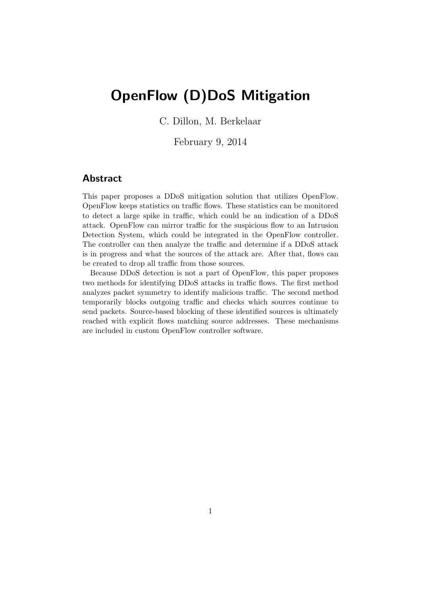# OpenFlow (D)DoS Mitigation

C. Dillon, M. Berkelaar

February 9, 2014

## Abstract

This paper proposes a DDoS mitigation solution that utilizes OpenFlow. OpenFlow keeps statistics on traffic flows. These statistics can be monitored to detect a large spike in traffic, which could be an indication of a DDoS attack. OpenFlow can mirror traffic for the suspicious flow to an Intrusion Detection System, which could be integrated in the OpenFlow controller. The controller can then analyze the traffic and determine if a DDoS attack is in progress and what the sources of the attack are. After that, flows can be created to drop all traffic from those sources.

Because DDoS detection is not a part of OpenFlow, this paper proposes two methods for identifying DDoS attacks in traffic flows. The first method analyzes packet symmetry to identify malicious traffic. The second method temporarily blocks outgoing traffic and checks which sources continue to send packets. Source-based blocking of these identified sources is ultimately reached with explicit flows matching source addresses. These mechanisms are included in custom OpenFlow controller software.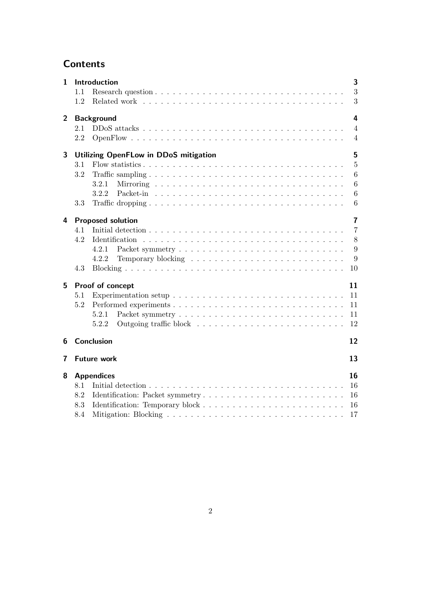## **Contents**

| $\mathbf{1}$            | 1.1                                               | Introduction                                                                                                                                              | 3<br>3                           |  |
|-------------------------|---------------------------------------------------|-----------------------------------------------------------------------------------------------------------------------------------------------------------|----------------------------------|--|
|                         | 1.2                                               |                                                                                                                                                           | 3                                |  |
| $\overline{2}$          | 4<br><b>Background</b>                            |                                                                                                                                                           |                                  |  |
|                         | 2.1<br>2.2                                        |                                                                                                                                                           | $\overline{4}$<br>$\overline{4}$ |  |
| 3                       | 5<br><b>Utilizing OpenFLow in DDoS mitigation</b> |                                                                                                                                                           |                                  |  |
|                         | 3.1                                               |                                                                                                                                                           | $\overline{5}$                   |  |
|                         | 3.2                                               |                                                                                                                                                           | $6\phantom{.}6$                  |  |
|                         |                                                   | 3.2.1                                                                                                                                                     | 6                                |  |
|                         |                                                   | 3.2.2                                                                                                                                                     | $6\phantom{.}6$                  |  |
|                         | 3.3                                               |                                                                                                                                                           | $6\phantom{.}6$                  |  |
| 4                       |                                                   | <b>Proposed solution</b>                                                                                                                                  | $\overline{7}$                   |  |
|                         | 4.1                                               |                                                                                                                                                           | $\overline{7}$                   |  |
|                         | 4.2                                               |                                                                                                                                                           | 8                                |  |
|                         |                                                   | 4.2.1                                                                                                                                                     | 9                                |  |
|                         |                                                   | 4.2.2                                                                                                                                                     | 9                                |  |
|                         | 4.3                                               | 10                                                                                                                                                        |                                  |  |
| 5                       | Proof of concept<br>11                            |                                                                                                                                                           |                                  |  |
|                         | 5.1                                               | 11                                                                                                                                                        |                                  |  |
|                         | 5.2                                               | 11                                                                                                                                                        |                                  |  |
|                         |                                                   | 5.2.1<br>11                                                                                                                                               |                                  |  |
|                         |                                                   | 12<br>5.2.2                                                                                                                                               |                                  |  |
| 6                       |                                                   | 12<br><b>Conclusion</b>                                                                                                                                   |                                  |  |
| $\overline{\mathbf{r}}$ |                                                   | <b>Future work</b><br>13                                                                                                                                  |                                  |  |
| 8                       |                                                   | 16<br><b>Appendices</b>                                                                                                                                   |                                  |  |
|                         | 8.1                                               | Initial detection $\ldots$ , $\ldots$ , $\ldots$ , $\ldots$ , $\ldots$ , $\ldots$ , $\ldots$ , $\ldots$ , $\ldots$ , $\ldots$ , $\ldots$ , $\ldots$<br>16 |                                  |  |
|                         | 8.2                                               | 16                                                                                                                                                        |                                  |  |
|                         | 8.3                                               | 16                                                                                                                                                        |                                  |  |
|                         | 8.4                                               | 17                                                                                                                                                        |                                  |  |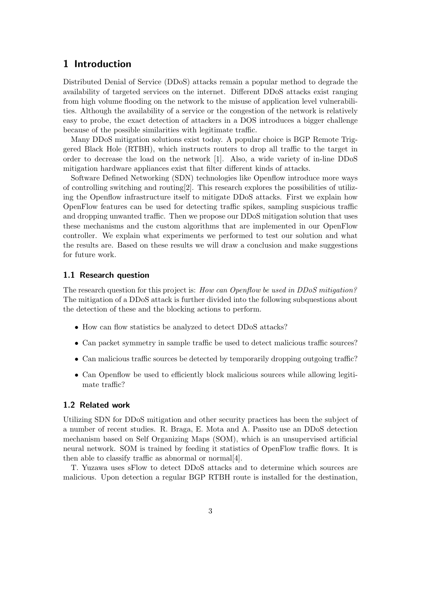## 1 Introduction

Distributed Denial of Service (DDoS) attacks remain a popular method to degrade the availability of targeted services on the internet. Different DDoS attacks exist ranging from high volume flooding on the network to the misuse of application level vulnerabilities. Although the availability of a service or the congestion of the network is relatively easy to probe, the exact detection of attackers in a DOS introduces a bigger challenge because of the possible similarities with legitimate traffic.

Many DDoS mitigation solutions exist today. A popular choice is BGP Remote Triggered Black Hole (RTBH), which instructs routers to drop all traffic to the target in order to decrease the load on the network [1]. Also, a wide variety of in-line DDoS mitigation hardware appliances exist that filter different kinds of attacks.

Software Defined Networking (SDN) technologies like Openflow introduce more ways of controlling switching and routing  $[2]$ . This research explores the possibilities of utilizing the Openflow infrastructure itself to mitigate DDoS attacks. First we explain how OpenFlow features can be used for detecting traffic spikes, sampling suspicious traffic and dropping unwanted traffic. Then we propose our DDoS mitigation solution that uses these mechanisms and the custom algorithms that are implemented in our OpenFlow controller. We explain what experiments we performed to test our solution and what the results are. Based on these results we will draw a conclusion and make suggestions for future work.

#### 1.1 Research question

The research question for this project is: How can Openflow be used in DDoS mitigation? The mitigation of a DDoS attack is further divided into the following subquestions about the detection of these and the blocking actions to perform.

- How can flow statistics be analyzed to detect DDoS attacks?
- Can packet symmetry in sample traffic be used to detect malicious traffic sources?
- Can malicious traffic sources be detected by temporarily dropping outgoing traffic?
- Can Openflow be used to efficiently block malicious sources while allowing legitimate traffic?

#### 1.2 Related work

Utilizing SDN for DDoS mitigation and other security practices has been the subject of a number of recent studies. R. Braga, E. Mota and A. Passito use an DDoS detection mechanism based on Self Organizing Maps (SOM), which is an unsupervised artificial neural network. SOM is trained by feeding it statistics of OpenFlow traffic flows. It is then able to classify traffic as abnormal or normal[4].

T. Yuzawa uses sFlow to detect DDoS attacks and to determine which sources are malicious. Upon detection a regular BGP RTBH route is installed for the destination,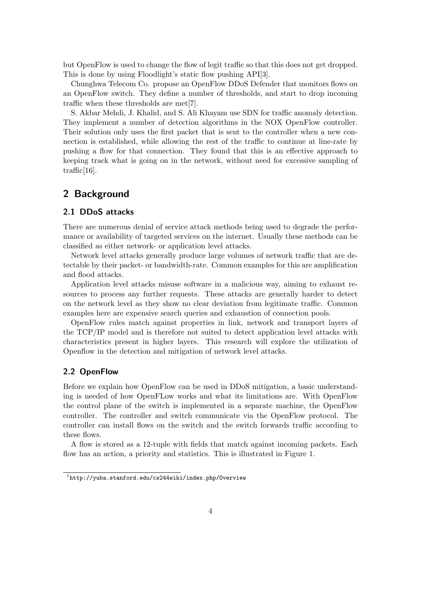but OpenFlow is used to change the flow of legit traffic so that this does not get dropped. This is done by using Floodlight's static flow pushing API[3].

Chunghwa Telecom Co. propose an OpenFlow DDoS Defender that monitors flows on an OpenFlow switch. They define a number of thresholds, and start to drop incoming traffic when these thresholds are met[7].

S. Akbar Mehdi, J. Khalid, and S. Ali Khayam use SDN for traffic anomaly detection. They implement a number of detection algorithms in the NOX OpenFlow controller. Their solution only uses the first packet that is sent to the controller when a new connection is established, while allowing the rest of the traffic to continue at line-rate by pushing a flow for that connection. They found that this is an effective approach to keeping track what is going on in the network, without need for excessive sampling of traffic[16].

## 2 Background

#### 2.1 DDoS attacks

There are numerous denial of service attack methods being used to degrade the performance or availability of targeted services on the internet. Usually these methods can be classified as either network- or application level attacks.

Network level attacks generally produce large volumes of network traffic that are detectable by their packet- or bandwidth-rate. Common examples for this are amplification and flood attacks.

Application level attacks misuse software in a malicious way, aiming to exhaust resources to process any further requests. These attacks are generally harder to detect on the network level as they show no clear deviation from legitimate traffic. Common examples here are expensive search queries and exhaustion of connection pools.

OpenFlow rules match against properties in link, network and transport layers of the TCP/IP model and is therefore not suited to detect application level attacks with characteristics present in higher layers. This research will explore the utilization of Openflow in the detection and mitigation of network level attacks.

#### 2.2 OpenFlow

Before we explain how OpenFlow can be used in DDoS mitigation, a basic understanding is needed of how OpenFLow works and what its limitations are. With OpenFlow the control plane of the switch is implemented in a separate machine, the OpenFlow controller. The controller and switch communicate via the OpenFlow protocol. The controller can install flows on the switch and the switch forwards traffic according to these flows.

A flow is stored as a 12-tuple with fields that match against incoming packets. Each flow has an action, a priority and statistics. This is illustrated in Figure 1.

 $^{\rm 1}$ http://yuba.stanford.edu/cs244wiki/index.php/Overview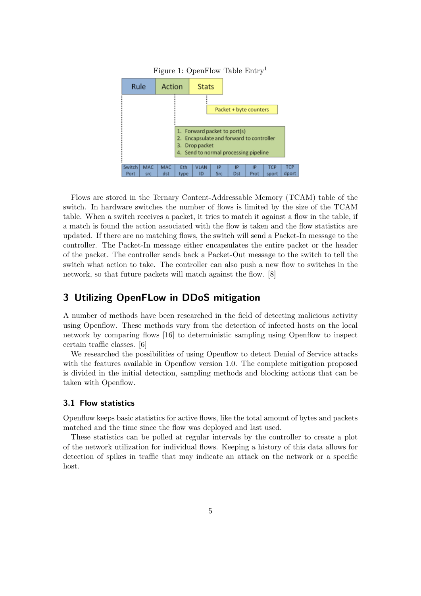

Figure 1: OpenFlow Table Entry<sup>1</sup>

Flows are stored in the Ternary Content-Addressable Memory (TCAM) table of the switch. In hardware switches the number of flows is limited by the size of the TCAM table. When a switch receives a packet, it tries to match it against a flow in the table, if a match is found the action associated with the flow is taken and the flow statistics are updated. If there are no matching flows, the switch will send a Packet-In message to the controller. The Packet-In message either encapsulates the entire packet or the header of the packet. The controller sends back a Packet-Out message to the switch to tell the switch what action to take. The controller can also push a new flow to switches in the network, so that future packets will match against the flow. [8]

## 3 Utilizing OpenFLow in DDoS mitigation

A number of methods have been researched in the field of detecting malicious activity using Openflow. These methods vary from the detection of infected hosts on the local network by comparing flows [16] to deterministic sampling using Openflow to inspect certain traffic classes. [6]

We researched the possibilities of using Openflow to detect Denial of Service attacks with the features available in Openflow version 1.0. The complete mitigation proposed is divided in the initial detection, sampling methods and blocking actions that can be taken with Openflow.

#### 3.1 Flow statistics

Openflow keeps basic statistics for active flows, like the total amount of bytes and packets matched and the time since the flow was deployed and last used.

These statistics can be polled at regular intervals by the controller to create a plot of the network utilization for individual flows. Keeping a history of this data allows for detection of spikes in traffic that may indicate an attack on the network or a specific host.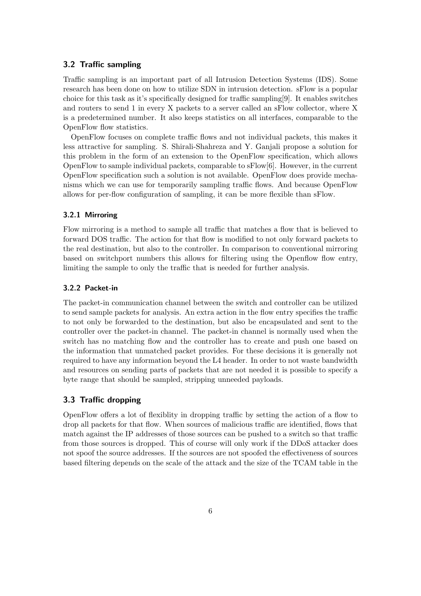#### 3.2 Traffic sampling

Traffic sampling is an important part of all Intrusion Detection Systems (IDS). Some research has been done on how to utilize SDN in intrusion detection. sFlow is a popular choice for this task as it's specifically designed for traffic sampling[9]. It enables switches and routers to send 1 in every X packets to a server called an sFlow collector, where X is a predetermined number. It also keeps statistics on all interfaces, comparable to the OpenFlow flow statistics.

OpenFlow focuses on complete traffic flows and not individual packets, this makes it less attractive for sampling. S. Shirali-Shahreza and Y. Ganjali propose a solution for this problem in the form of an extension to the OpenFlow specification, which allows OpenFlow to sample individual packets, comparable to sFlow[6]. However, in the current OpenFlow specification such a solution is not available. OpenFlow does provide mechanisms which we can use for temporarily sampling traffic flows. And because OpenFlow allows for per-flow configuration of sampling, it can be more flexible than sFlow.

#### 3.2.1 Mirroring

Flow mirroring is a method to sample all traffic that matches a flow that is believed to forward DOS traffic. The action for that flow is modified to not only forward packets to the real destination, but also to the controller. In comparison to conventional mirroring based on switchport numbers this allows for filtering using the Openflow flow entry, limiting the sample to only the traffic that is needed for further analysis.

#### 3.2.2 Packet-in

The packet-in communication channel between the switch and controller can be utilized to send sample packets for analysis. An extra action in the flow entry specifies the traffic to not only be forwarded to the destination, but also be encapsulated and sent to the controller over the packet-in channel. The packet-in channel is normally used when the switch has no matching flow and the controller has to create and push one based on the information that unmatched packet provides. For these decisions it is generally not required to have any information beyond the L4 header. In order to not waste bandwidth and resources on sending parts of packets that are not needed it is possible to specify a byte range that should be sampled, stripping unneeded payloads.

#### 3.3 Traffic dropping

OpenFlow offers a lot of flexiblity in dropping traffic by setting the action of a flow to drop all packets for that flow. When sources of malicious traffic are identified, flows that match against the IP addresses of those sources can be pushed to a switch so that traffic from those sources is dropped. This of course will only work if the DDoS attacker does not spoof the source addresses. If the sources are not spoofed the effectiveness of sources based filtering depends on the scale of the attack and the size of the TCAM table in the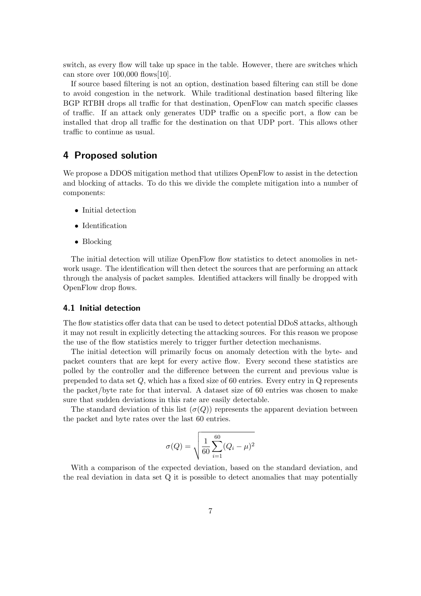switch, as every flow will take up space in the table. However, there are switches which can store over 100,000 flows[10].

If source based filtering is not an option, destination based filtering can still be done to avoid congestion in the network. While traditional destination based filtering like BGP RTBH drops all traffic for that destination, OpenFlow can match specific classes of traffic. If an attack only generates UDP traffic on a specific port, a flow can be installed that drop all traffic for the destination on that UDP port. This allows other traffic to continue as usual.

## 4 Proposed solution

We propose a DDOS mitigation method that utilizes OpenFlow to assist in the detection and blocking of attacks. To do this we divide the complete mitigation into a number of components:

- Initial detection
- Identification
- Blocking

The initial detection will utilize OpenFlow flow statistics to detect anomolies in network usage. The identification will then detect the sources that are performing an attack through the analysis of packet samples. Identified attackers will finally be dropped with OpenFlow drop flows.

#### 4.1 Initial detection

The flow statistics offer data that can be used to detect potential DDoS attacks, although it may not result in explicitly detecting the attacking sources. For this reason we propose the use of the flow statistics merely to trigger further detection mechanisms.

The initial detection will primarily focus on anomaly detection with the byte- and packet counters that are kept for every active flow. Every second these statistics are polled by the controller and the difference between the current and previous value is prepended to data set  $Q$ , which has a fixed size of 60 entries. Every entry in  $Q$  represents the packet/byte rate for that interval. A dataset size of 60 entries was chosen to make sure that sudden deviations in this rate are easily detectable.

The standard deviation of this list  $(\sigma(Q))$  represents the apparent deviation between the packet and byte rates over the last 60 entries.

$$
\sigma(Q) = \sqrt{\frac{1}{60} \sum_{i=1}^{60} (Q_i - \mu)^2}
$$

With a comparison of the expected deviation, based on the standard deviation, and the real deviation in data set Q it is possible to detect anomalies that may potentially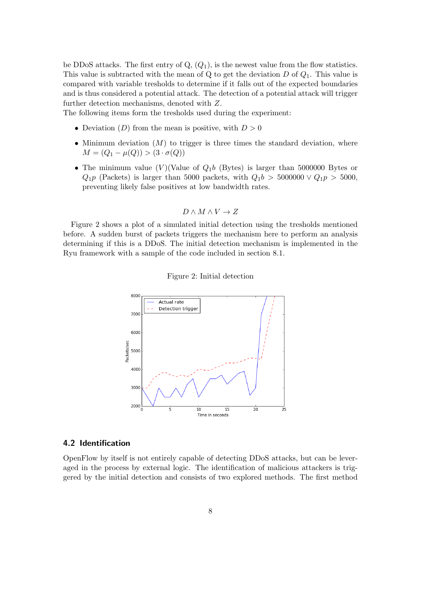be DDoS attacks. The first entry of  $Q_1$ ,  $(Q_1)$ , is the newest value from the flow statistics. This value is subtracted with the mean of Q to get the deviation  $D$  of  $Q_1$ . This value is compared with variable tresholds to determine if it falls out of the expected boundaries and is thus considered a potential attack. The detection of a potential attack will trigger further detection mechanisms, denoted with Z.

The following items form the tresholds used during the experiment:

- Deviation (D) from the mean is positive, with  $D > 0$
- Minimum deviation  $(M)$  to trigger is three times the standard deviation, where  $M = (Q_1 - \mu(Q)) > (3 \cdot \sigma(Q))$
- The minimum value (V)(Value of  $Q_1b$  (Bytes) is larger than 5000000 Bytes or  $Q_1p$  (Packets) is larger than 5000 packets, with  $Q_1b > 5000000 \vee Q_1p > 5000$ , preventing likely false positives at low bandwidth rates.

$$
D \wedge M \wedge V \to Z
$$

Figure 2 shows a plot of a simulated initial detection using the tresholds mentioned before. A sudden burst of packets triggers the mechanism here to perform an analysis determining if this is a DDoS. The initial detection mechanism is implemented in the Ryu framework with a sample of the code included in section 8.1.





#### 4.2 Identification

OpenFlow by itself is not entirely capable of detecting DDoS attacks, but can be leveraged in the process by external logic. The identification of malicious attackers is triggered by the initial detection and consists of two explored methods. The first method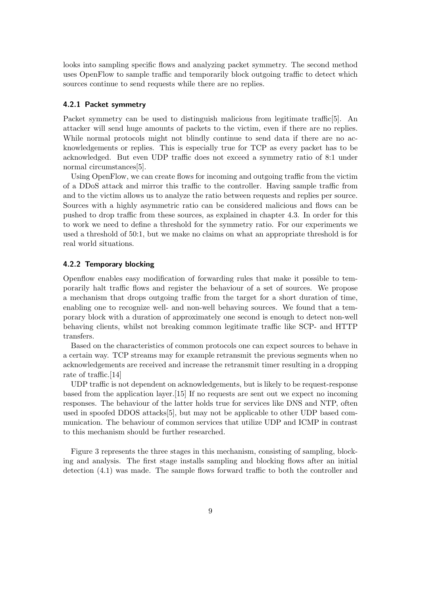looks into sampling specific flows and analyzing packet symmetry. The second method uses OpenFlow to sample traffic and temporarily block outgoing traffic to detect which sources continue to send requests while there are no replies.

#### 4.2.1 Packet symmetry

Packet symmetry can be used to distinguish malicious from legitimate traffic<sup>[5]</sup>. An attacker will send huge amounts of packets to the victim, even if there are no replies. While normal protocols might not blindly continue to send data if there are no acknowledgements or replies. This is especially true for TCP as every packet has to be acknowledged. But even UDP traffic does not exceed a symmetry ratio of 8:1 under normal circumstances[5].

Using OpenFlow, we can create flows for incoming and outgoing traffic from the victim of a DDoS attack and mirror this traffic to the controller. Having sample traffic from and to the victim allows us to analyze the ratio between requests and replies per source. Sources with a highly asymmetric ratio can be considered malicious and flows can be pushed to drop traffic from these sources, as explained in chapter 4.3. In order for this to work we need to define a threshold for the symmetry ratio. For our experiments we used a threshold of 50:1, but we make no claims on what an appropriate threshold is for real world situations.

#### 4.2.2 Temporary blocking

Openflow enables easy modification of forwarding rules that make it possible to temporarily halt traffic flows and register the behaviour of a set of sources. We propose a mechanism that drops outgoing traffic from the target for a short duration of time, enabling one to recognize well- and non-well behaving sources. We found that a temporary block with a duration of approximately one second is enough to detect non-well behaving clients, whilst not breaking common legitimate traffic like SCP- and HTTP transfers.

Based on the characteristics of common protocols one can expect sources to behave in a certain way. TCP streams may for example retransmit the previous segments when no acknowledgements are received and increase the retransmit timer resulting in a dropping rate of traffic.[14]

UDP traffic is not dependent on acknowledgements, but is likely to be request-response based from the application layer.[15] If no requests are sent out we expect no incoming responses. The behaviour of the latter holds true for services like DNS and NTP, often used in spoofed DDOS attacks[5], but may not be applicable to other UDP based communication. The behaviour of common services that utilize UDP and ICMP in contrast to this mechanism should be further researched.

Figure 3 represents the three stages in this mechanism, consisting of sampling, blocking and analysis. The first stage installs sampling and blocking flows after an initial detection (4.1) was made. The sample flows forward traffic to both the controller and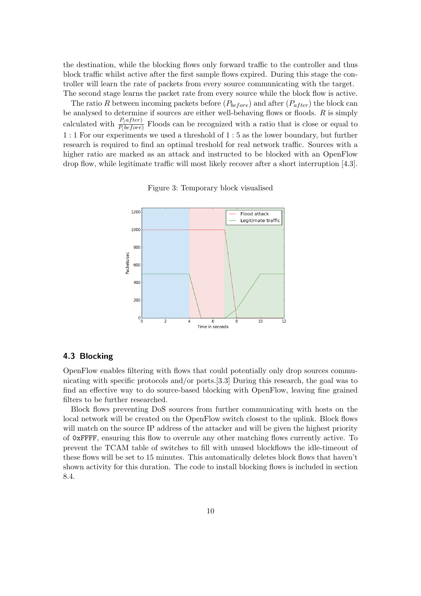the destination, while the blocking flows only forward traffic to the controller and thus block traffic whilst active after the first sample flows expired. During this stage the controller will learn the rate of packets from every source communicating with the target. The second stage learns the packet rate from every source while the block flow is active.

The ratio R between incoming packets before  $(P_{before})$  and after  $(P_{after})$  the block can be analysed to determine if sources are either well-behaving flows or floods.  $R$  is simply calculated with  $\frac{P(after)}{P(before)}$  Floods can be recognized with a ratio that is close or equal to 1 : 1 For our experiments we used a threshold of 1 : 5 as the lower boundary, but further research is required to find an optimal treshold for real network traffic. Sources with a higher ratio are marked as an attack and instructed to be blocked with an OpenFlow drop flow, while legitimate traffic will most likely recover after a short interruption [4.3].

Figure 3: Temporary block visualised



#### 4.3 Blocking

OpenFlow enables filtering with flows that could potentially only drop sources communicating with specific protocols and/or ports.[3.3] During this research, the goal was to find an effective way to do source-based blocking with OpenFlow, leaving fine grained filters to be further researched.

Block flows preventing DoS sources from further communicating with hosts on the local network will be created on the OpenFlow switch closest to the uplink. Block flows will match on the source IP address of the attacker and will be given the highest priority of 0xFFFF, ensuring this flow to overrule any other matching flows currently active. To prevent the TCAM table of switches to fill with unused blockflows the idle-timeout of these flows will be set to 15 minutes. This automatically deletes block flows that haven't shown activity for this duration. The code to install blocking flows is included in section 8.4.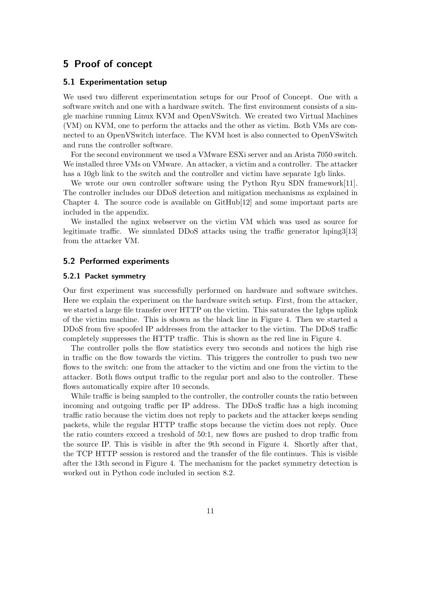## 5 Proof of concept

#### 5.1 Experimentation setup

We used two different experimentation setups for our Proof of Concept. One with a software switch and one with a hardware switch. The first environment consists of a single machine running Linux KVM and OpenVSwitch. We created two Virtual Machines (VM) on KVM, one to perform the attacks and the other as victim. Both VMs are connected to an OpenVSwitch interface. The KVM host is also connected to OpenVSwitch and runs the controller software.

For the second environment we used a VMware ESXi server and an Arista 7050 switch. We installed three VMs on VMware. An attacker, a victim and a controller. The attacker has a 10gb link to the switch and the controller and victim have separate 1gb links.

We wrote our own controller software using the Python Ryu SDN framework[11]. The controller includes our DDoS detection and mitigation mechanisms as explained in Chapter 4. The source code is available on GitHub[12] and some important parts are included in the appendix.

We installed the nginx webserver on the victim VM which was used as source for legitimate traffic. We simulated DDoS attacks using the traffic generator hping3[13] from the attacker VM.

#### 5.2 Performed experiments

#### 5.2.1 Packet symmetry

Our first experiment was successfully performed on hardware and software switches. Here we explain the experiment on the hardware switch setup. First, from the attacker, we started a large file transfer over HTTP on the victim. This saturates the 1gbps uplink of the victim machine. This is shown as the black line in Figure 4. Then we started a DDoS from five spoofed IP addresses from the attacker to the victim. The DDoS traffic completely suppresses the HTTP traffic. This is shown as the red line in Figure 4.

The controller polls the flow statistics every two seconds and notices the high rise in traffic on the flow towards the victim. This triggers the controller to push two new flows to the switch: one from the attacker to the victim and one from the victim to the attacker. Both flows output traffic to the regular port and also to the controller. These flows automatically expire after 10 seconds.

While traffic is being sampled to the controller, the controller counts the ratio between incoming and outgoing traffic per IP address. The DDoS traffic has a high incoming traffic ratio because the victim does not reply to packets and the attacker keeps sending packets, while the regular HTTP traffic stops because the victim does not reply. Once the ratio counters exceed a treshold of 50:1, new flows are pushed to drop traffic from the source IP. This is visible in after the 9th second in Figure 4. Shortly after that, the TCP HTTP session is restored and the transfer of the file continues. This is visible after the 13th second in Figure 4. The mechanism for the packet symmetry detection is worked out in Python code included in section 8.2.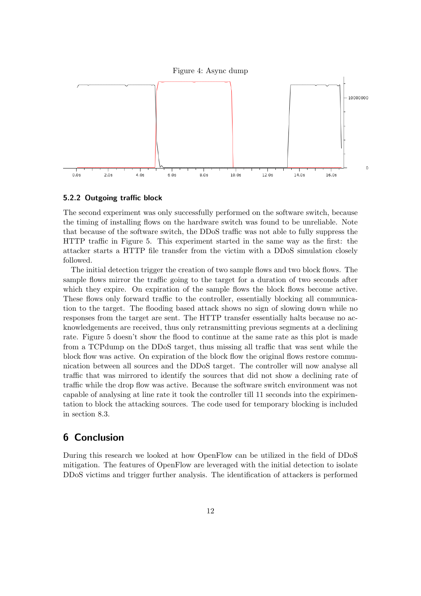



#### 5.2.2 Outgoing traffic block

The second experiment was only successfully performed on the software switch, because the timing of installing flows on the hardware switch was found to be unreliable. Note that because of the software switch, the DDoS traffic was not able to fully suppress the HTTP traffic in Figure 5. This experiment started in the same way as the first: the attacker starts a HTTP file transfer from the victim with a DDoS simulation closely followed.

The initial detection trigger the creation of two sample flows and two block flows. The sample flows mirror the traffic going to the target for a duration of two seconds after which they expire. On expiration of the sample flows the block flows become active. These flows only forward traffic to the controller, essentially blocking all communication to the target. The flooding based attack shows no sign of slowing down while no responses from the target are sent. The HTTP transfer essentially halts because no acknowledgements are received, thus only retransmitting previous segments at a declining rate. Figure 5 doesn't show the flood to continue at the same rate as this plot is made from a TCPdump on the DDoS target, thus missing all traffic that was sent while the block flow was active. On expiration of the block flow the original flows restore communication between all sources and the DDoS target. The controller will now analyse all traffic that was mirrored to identify the sources that did not show a declining rate of traffic while the drop flow was active. Because the software switch environment was not capable of analysing at line rate it took the controller till 11 seconds into the expirimentation to block the attacking sources. The code used for temporary blocking is included in section 8.3.

## 6 Conclusion

During this research we looked at how OpenFlow can be utilized in the field of DDoS mitigation. The features of OpenFlow are leveraged with the initial detection to isolate DDoS victims and trigger further analysis. The identification of attackers is performed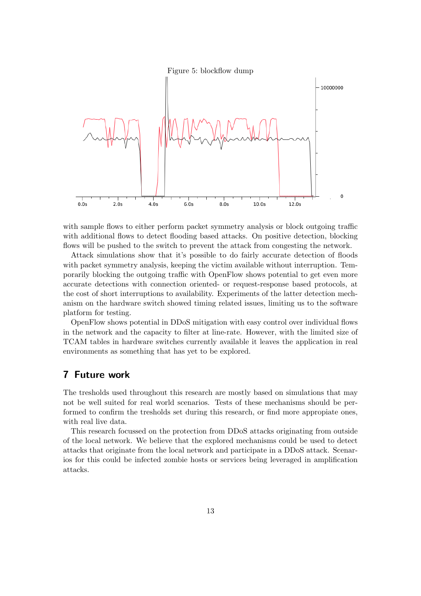



with sample flows to either perform packet symmetry analysis or block outgoing traffic with additional flows to detect flooding based attacks. On positive detection, blocking flows will be pushed to the switch to prevent the attack from congesting the network.

Attack simulations show that it's possible to do fairly accurate detection of floods with packet symmetry analysis, keeping the victim available without interruption. Temporarily blocking the outgoing traffic with OpenFlow shows potential to get even more accurate detections with connection oriented- or request-response based protocols, at the cost of short interruptions to availability. Experiments of the latter detection mechanism on the hardware switch showed timing related issues, limiting us to the software platform for testing.

OpenFlow shows potential in DDoS mitigation with easy control over individual flows in the network and the capacity to filter at line-rate. However, with the limited size of TCAM tables in hardware switches currently available it leaves the application in real environments as something that has yet to be explored.

## 7 Future work

The tresholds used throughout this research are mostly based on simulations that may not be well suited for real world scenarios. Tests of these mechanisms should be performed to confirm the tresholds set during this research, or find more appropiate ones, with real live data.

This research focussed on the protection from DDoS attacks originating from outside of the local network. We believe that the explored mechanisms could be used to detect attacks that originate from the local network and participate in a DDoS attack. Scenarios for this could be infected zombie hosts or services being leveraged in amplification attacks.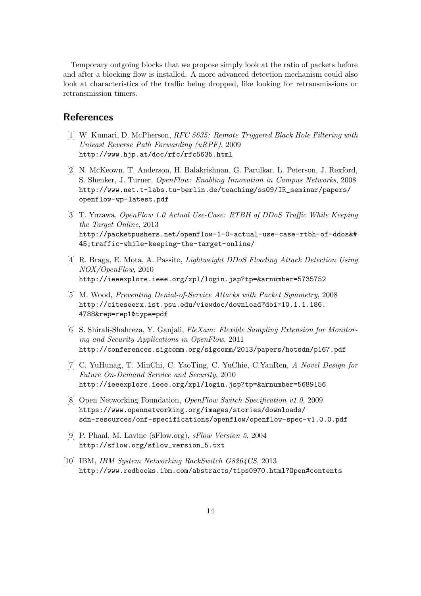Temporary outgoing blocks that we propose simply look at the ratio of packets before and after a blocking flow is installed. A more advanced detection mechanism could also look at characteristics of the traffic being dropped, like looking for retransmissions or retransmission timers.

## References

- [1] W. Kumari, D. McPherson, RFC 5635: Remote Triggered Black Hole Filtering with Unicast Reverse Path Forwarding (uRPF), 2009 http://www.hjp.at/doc/rfc/rfc5635.html
- [2] N. McKeown, T. Anderson, H. Balakrishnan, G. Parulkar, L. Peterson, J. Rexford, S. Shenker, J. Turner, OpenFlow: Enabling Innovation in Campus Networks, 2008 http://www.net.t-labs.tu-berlin.de/teaching/ss09/IR\_seminar/papers/ openflow-wp-latest.pdf
- [3] T. Yuzawa, OpenFlow 1.0 Actual Use-Case: RTBH of DDoS Traffic While Keeping the Target Online, 2013 http://packetpushers.net/openflow-1-0-actual-use-case-rtbh-of-ddos&# 45;traffic-while-keeping-the-target-online/
- [4] R. Braga, E. Mota, A. Passito, Lightweight DDoS Flooding Attack Detection Using NOX/OpenFlow, 2010 http://ieeexplore.ieee.org/xpl/login.jsp?tp=&arnumber=5735752
- [5] M. Wood, Preventing Denial-of-Service Attacks with Packet Symmetry, 2008 http://citeseerx.ist.psu.edu/viewdoc/download?doi=10.1.1.186. 4788&rep=rep1&type=pdf
- [6] S. Shirali-Shahreza, Y. Ganjali, FleXam: Flexible Sampling Extension for Monitoring and Security Applications in OpenFlow, 2011 http://conferences.sigcomm.org/sigcomm/2013/papers/hotsdn/p167.pdf
- [7] C. YuHunag, T. MinChi, C. YaoTing, C. YuChie, C.YanRen, A Novel Design for Future On-Demand Service and Security, 2010 http://ieeexplore.ieee.org/xpl/login.jsp?tp=&arnumber=5689156
- [8] Open Networking Foundation, OpenFlow Switch Specification v1.0, 2009 https://www.opennetworking.org/images/stories/downloads/ sdn-resources/onf-specifications/openflow/openflow-spec-v1.0.0.pdf
- [9] P. Phaal, M. Lavine (sFlow.org), sFlow Version 5, 2004 http://sflow.org/sflow\_version\_5.txt
- [10] IBM, IBM System Networking RackSwitch G8264CS, 2013 http://www.redbooks.ibm.com/abstracts/tips0970.html?Open#contents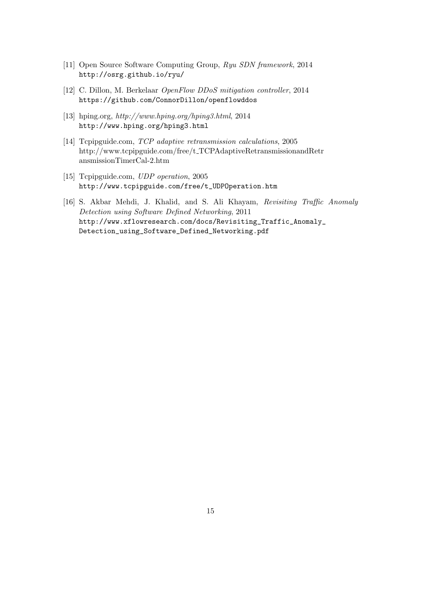- [11] Open Source Software Computing Group, Ryu SDN framework, 2014 http://osrg.github.io/ryu/
- [12] C. Dillon, M. Berkelaar OpenFlow DDoS mitigation controller, 2014 https://github.com/ConnorDillon/openflowddos
- [13] hping.org, http://www.hping.org/hping3.html, 2014 http://www.hping.org/hping3.html
- [14] Tcpipguide.com, TCP adaptive retransmission calculations, 2005 http://www.tcpipguide.com/free/t TCPAdaptiveRetransmissionandRetr ansmissionTimerCal-2.htm
- [15] Tcpipguide.com, UDP operation, 2005 http://www.tcpipguide.com/free/t\_UDPOperation.htm
- [16] S. Akbar Mehdi, J. Khalid, and S. Ali Khayam, Revisiting Traffic Anomaly Detection using Software Defined Networking, 2011 http://www.xflowresearch.com/docs/Revisiting\_Traffic\_Anomaly\_ Detection\_using\_Software\_Defined\_Networking.pdf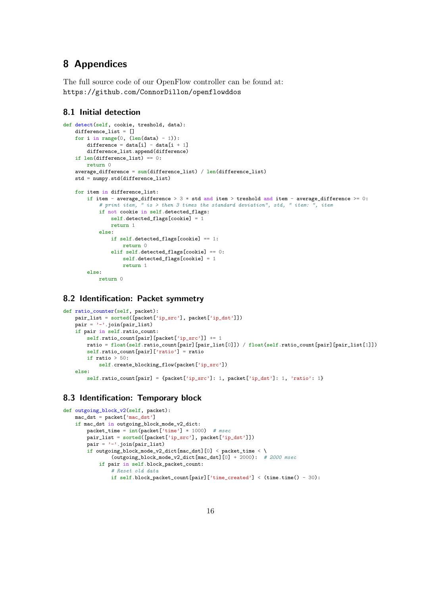## 8 Appendices

The full source code of our OpenFlow controller can be found at: https://github.com/ConnorDillon/openflowddos

#### 8.1 Initial detection

```
def detect(self, cookie, treshold, data):
   difference_list = []
   for i in range(0, (len(data) - 1)):
        difference = data[i] - data[i + 1]
       difference_list.append(difference)
    if len(difference_list) == 0:
       return 0
   average\_difference = sum(difference\_list) / len(difference\_list)std = numpy.std(difference_list)
   for item in difference_list:
        if item - average_difference > 3 * std and item > treshold and item - average_difference >= 0:
            # print item, " is > then 3 times the standard deviation", std, " item: ", item
            if not cookie in self.detected_flags:
                self.detected_flags[cookie] = 1
               return 1
            else:
               if self.detected_flags[cookie] == 1:
                    return 0
                elif self.detected_flags[cookie] == 0:
                    self.detected_flags[cookie] = 1return 1
        else:
           return 0
```
#### 8.2 Identification: Packet symmetry

```
def ratio_counter(self, packet):
   pair_list = sorted([packet['ip_src'], packet['ip_dst']])
   pair = '-'.join(pair_list)
    if pair in self.ratio_count:
        self.ratio_count[pair][packet['ip_src']] += 1
       ratio = float(self.ratio_count[pair][pair_list[0]]) / float(self.ratio_count[pair][pair_list[1]])
        self.ratio_count[pair]['ratio'] = ratio
        if ratio > 50:
            self.create_blocking_flow(packet['ip_src'])
    else:
        self.ratio_count[pair] = {packet['ip_src']: 1, packet['ip_dst']: 1, 'ratio': 1}
```
#### 8.3 Identification: Temporary block

```
def outgoing_block_v2(self, packet):
   mac\_dst = packet['mac\_dst']if mac_dst in outgoing_block_mode_v2_dict:
       packet_time = int(packet['time'] * 1000) # msec
       pair_list = sorted([packet['ip_src'], packet['ip_dst']])
       pair = '-''.join(pair_list)if outgoing_block_mode_v2_dict[mac_dst][0] < packet_time < \
                (outgoing\_block\_mode_v2\_dict[mac\_dst][0] + 2000): # 2000 msec
            if pair in self.block_packet_count:
                # Reset old data
                if self.block_packet_count[pair]['time_created'] < (time.time() - 30):
```